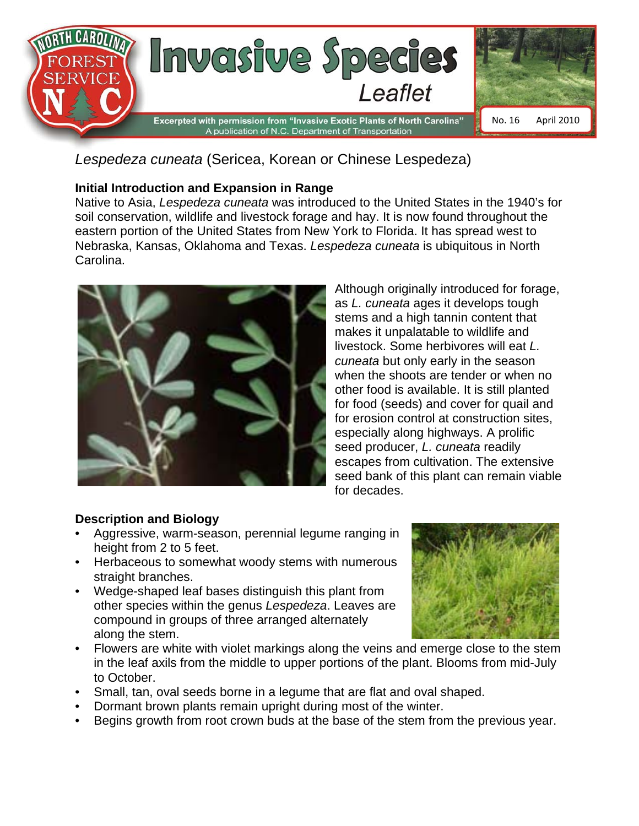

*Lespedeza cuneata* (Sericea, Korean or Chinese Lespedeza)

## **Initial Introduction and Expansion in Range**

Native to Asia, *Lespedeza cuneata* was introduced to the United States in the 1940's for soil conservation, wildlife and livestock forage and hay. It is now found throughout the eastern portion of the United States from New York to Florida. It has spread west to Nebraska, Kansas, Oklahoma and Texas. *Lespedeza cuneata* is ubiquitous in North Carolina.



Although originally introduced for forage, as *L. cuneata* ages it develops tough stems and a high tannin content that makes it unpalatable to wildlife and livestock. Some herbivores will eat *L. cuneata* but only early in the season when the shoots are tender or when no other food is available. It is still planted for food (seeds) and cover for quail and for erosion control at construction sites, especially along highways. A prolific seed producer, *L. cuneata* readily escapes from cultivation. The extensive seed bank of this plant can remain viable for decades.

## **Description and Biology**

- Aggressive, warm-season, perennial legume ranging in height from 2 to 5 feet.
- Herbaceous to somewhat woody stems with numerous straight branches.
- Wedge-shaped leaf bases distinguish this plant from other species within the genus *Lespedeza*. Leaves are compound in groups of three arranged alternately along the stem.



- Flowers are white with violet markings along the veins and emerge close to the stem in the leaf axils from the middle to upper portions of the plant. Blooms from mid-July to October.
- Small, tan, oval seeds borne in a legume that are flat and oval shaped.
- Dormant brown plants remain upright during most of the winter.
- Begins growth from root crown buds at the base of the stem from the previous year.